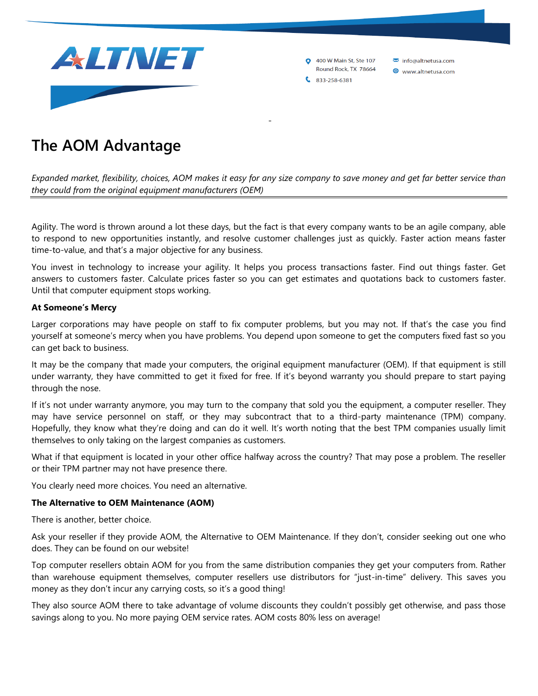

400 W Main St, Ste 107 Round Rock, TX 78664 info@altnetusa.com

www.altnetusa.com

 $833 - 258 - 6381$ 

## **The AOM Advantage**

*Expanded market, flexibility, choices, AOM makes it easy for any size company to save money and get far better service than they could from the original equipment manufacturers (OEM)*

-

Agility. The word is thrown around a lot these days, but the fact is that every company wants to be an agile company, able to respond to new opportunities instantly, and resolve customer challenges just as quickly. Faster action means faster time-to-value, and that's a major objective for any business.

You invest in technology to increase your agility. It helps you process transactions faster. Find out things faster. Get answers to customers faster. Calculate prices faster so you can get estimates and quotations back to customers faster. Until that computer equipment stops working.

## **At Someone's Mercy**

Larger corporations may have people on staff to fix computer problems, but you may not. If that's the case you find yourself at someone's mercy when you have problems. You depend upon someone to get the computers fixed fast so you can get back to business.

It may be the company that made your computers, the original equipment manufacturer (OEM). If that equipment is still under warranty, they have committed to get it fixed for free. If it's beyond warranty you should prepare to start paying through the nose.

If it's not under warranty anymore, you may turn to the company that sold you the equipment, a computer reseller. They may have service personnel on staff, or they may subcontract that to a third-party maintenance (TPM) company. Hopefully, they know what they're doing and can do it well. It's worth noting that the best TPM companies usually limit themselves to only taking on the largest companies as customers.

What if that equipment is located in your other office halfway across the country? That may pose a problem. The reseller or their TPM partner may not have presence there.

You clearly need more choices. You need an alternative.

## **The Alternative to OEM Maintenance (AOM)**

There is another, better choice.

Ask your reseller if they provide AOM, the Alternative to OEM Maintenance. If they don't, consider seeking out one who does. They can be found on our website!

Top computer resellers obtain AOM for you from the same distribution companies they get your computers from. Rather than warehouse equipment themselves, computer resellers use distributors for "just-in-time" delivery. This saves you money as they don't incur any carrying costs, so it's a good thing!

They also source AOM there to take advantage of volume discounts they couldn't possibly get otherwise, and pass those savings along to you. No more paying OEM service rates. AOM costs 80% less on average!